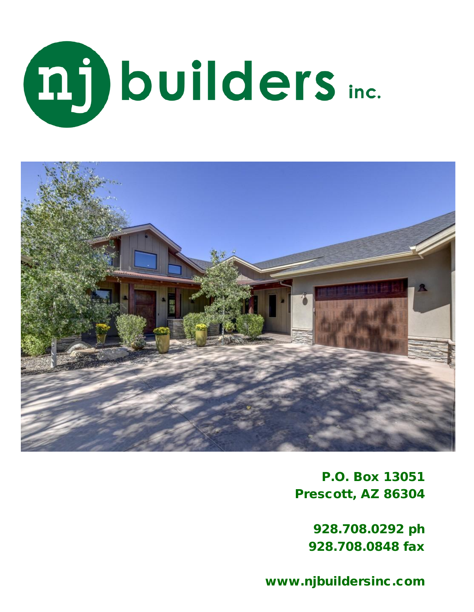



P.O. Box 13051 Prescott, AZ 86304

> 928.708.0292 ph 928.708.0848 fax

www.njbuildersinc.com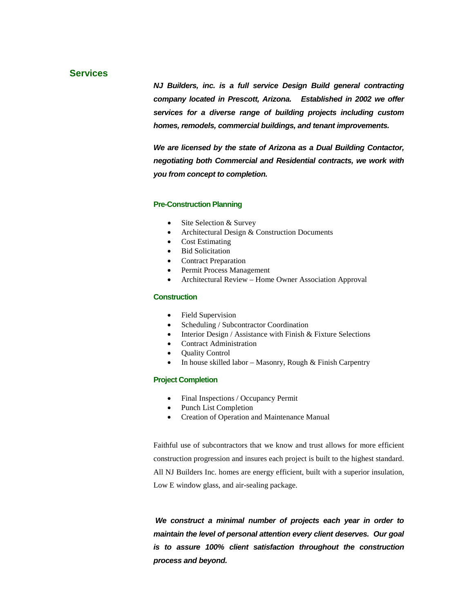## **Services**

*NJ Builders, inc. is a full service Design Build general contracting company located in Prescott, Arizona. Established in 2002 we offer services for a diverse range of building projects including custom homes, remodels, commercial buildings, and tenant improvements.* 

*We are licensed by the state of Arizona as a Dual Building Contactor, negotiating both Commercial and Residential contracts, we work with you from concept to completion.* 

### **Pre-Construction Planning**

- Site Selection & Survey
- Architectural Design & Construction Documents
- Cost Estimating
- Bid Solicitation
- Contract Preparation
- Permit Process Management
- Architectural Review Home Owner Association Approval

#### **Construction**

- Field Supervision
- Scheduling / Subcontractor Coordination
- Interior Design / Assistance with Finish & Fixture Selections
- Contract Administration
- **Ouality Control**
- In house skilled labor Masonry, Rough & Finish Carpentry

#### **Project Completion**

- Final Inspections / Occupancy Permit
- Punch List Completion
- Creation of Operation and Maintenance Manual

Faithful use of subcontractors that we know and trust allows for more efficient construction progression and insures each project is built to the highest standard. All NJ Builders Inc. homes are energy efficient, built with a superior insulation, Low E window glass, and air-sealing package.

*We construct a minimal number of projects each year in order to maintain the level of personal attention every client deserves. Our goal is to assure 100% client satisfaction throughout the construction process and beyond.*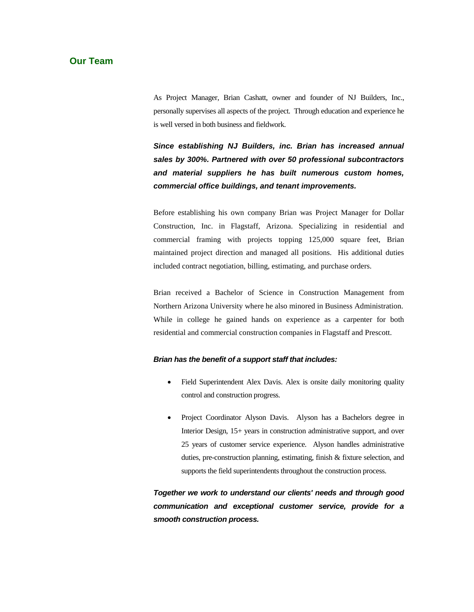## **Our Team**

As Project Manager, Brian Cashatt, owner and founder of NJ Builders, Inc., personally supervises all aspects of the project. Through education and experience he is well versed in both business and fieldwork.

*Since establishing NJ Builders, inc. Brian has increased annual sales by 300%. Partnered with over 50 professional subcontractors and material suppliers he has built numerous custom homes, commercial office buildings, and tenant improvements.* 

Before establishing his own company Brian was Project Manager for Dollar Construction, Inc. in Flagstaff, Arizona. Specializing in residential and commercial framing with projects topping 125,000 square feet, Brian maintained project direction and managed all positions. His additional duties included contract negotiation, billing, estimating, and purchase orders.

Brian received a Bachelor of Science in Construction Management from Northern Arizona University where he also minored in Business Administration. While in college he gained hands on experience as a carpenter for both residential and commercial construction companies in Flagstaff and Prescott.

#### *Brian has the benefit of a support staff that includes:*

- Field Superintendent Alex Davis. Alex is onsite daily monitoring quality control and construction progress.
- Project Coordinator Alyson Davis. Alyson has a Bachelors degree in Interior Design, 15+ years in construction administrative support, and over 25 years of customer service experience. Alyson handles administrative duties, pre-construction planning, estimating, finish & fixture selection, and supports the field superintendents throughout the construction process.

*Together we work to understand our clients' needs and through good communication and exceptional customer service, provide for a smooth construction process.*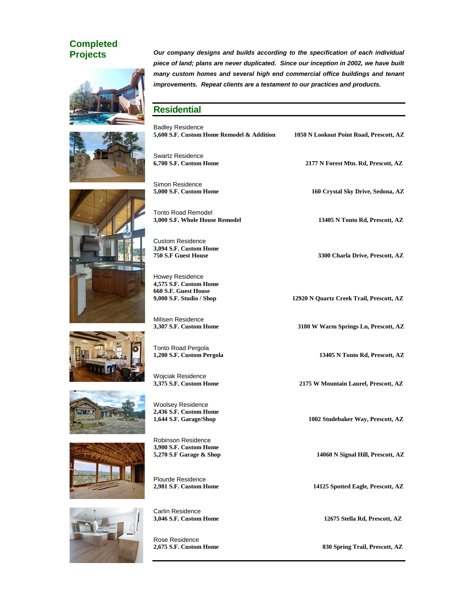# **Completed**





**Projects** *Our company designs and builds according to the specification of each individual piece of land; plans are never duplicated. Since our inception in 2002, we have built many custom homes and several high end commercial office buildings and tenant improvements. Repeat clients are a testament to our practices and products.* 

# **Residential**

| <b>Badley Residence</b><br>5,600 S.F. Custom Home Remodel & Addition | 1050 N Lookout Point Road, Prescott, AZ  |
|----------------------------------------------------------------------|------------------------------------------|
|                                                                      |                                          |
| <b>Swartz Residence</b><br>6,700 S.F. Custom Home                    | 2177 N Forest Mtn. Rd, Prescott, AZ      |
|                                                                      |                                          |
| Simon Residence                                                      |                                          |
| 5,000 S.F. Custom Home                                               | 160 Crystal Sky Drive, Sedona, AZ        |
| <b>Tonto Road Remodel</b>                                            |                                          |
| 3,000 S.F. Whole House Remodel                                       | 13405 N Tonto Rd, Prescott, AZ           |
|                                                                      |                                          |
| <b>Custom Residence</b><br>3,094 S.F. Custom Home                    |                                          |
| 750 S.F Guest House                                                  | 3300 Charla Drive, Prescott, AZ          |
| Howey Residence                                                      |                                          |
| 4,575 S.F. Custom Home                                               |                                          |
| 660 S.F. Guest House<br>9,000 S.F. Studio / Shop                     | 12920 N Quartz Creek Trail, Prescott, AZ |
|                                                                      |                                          |
| Milisen Residence                                                    |                                          |
| 3,307 S.F. Custom Home                                               | 3180 W Warm Springs Ln, Prescott, AZ     |
| Tonto Road Pergola                                                   |                                          |
| 1,200 S.F. Custom Pergola                                            | 13405 N Tonto Rd, Prescott, AZ           |
| Wojciak Residence                                                    |                                          |
| 3,375 S.F. Custom Home                                               | 2175 W Mountain Laurel, Prescott, AZ     |
|                                                                      |                                          |
| <b>Woolsey Residence</b><br>2,436 S.F. Custom Home                   |                                          |
| 1,644 S.F. Garage/Shop                                               | 1002 Studebaker Way, Prescott, AZ        |
| <b>Robinson Residence</b>                                            |                                          |
| 3,900 S.F. Custom Home                                               |                                          |
| 5,270 S.F Garage & Shop                                              | 14060 N Signal Hill, Prescott, AZ        |
|                                                                      |                                          |
| Plourde Residence<br>2,981 S.F. Custom Home                          | 14125 Spotted Eagle, Prescott, AZ        |
|                                                                      |                                          |
| Carlin Residence                                                     |                                          |
| 3,046 S.F. Custom Home                                               | 12675 Stella Rd, Prescott, AZ            |
| Rose Residence                                                       |                                          |
| 2,675 S.F. Custom Home                                               | 830 Spring Trail, Prescott, AZ           |
|                                                                      |                                          |







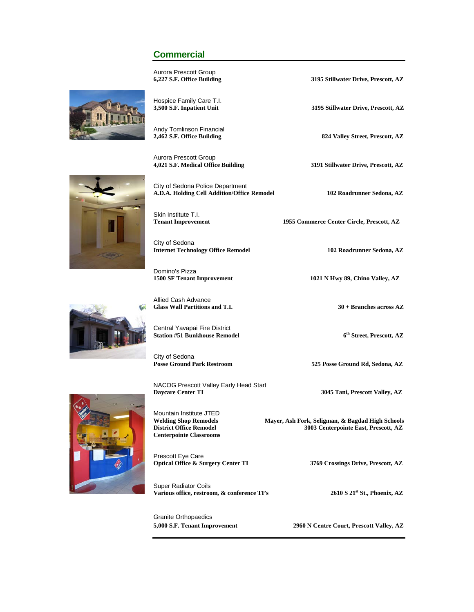## **Commercial**

Aurora Prescott Group<br>6,227 S.F. Office Building

**6,227 S.F. Office Building 3195 Stillwater Drive, Prescott, AZ**

**3,500 S.F. Inpatient Unit 3195 Stillwater Drive, Prescott, AZ**

**2,462 S.F. Office Building 824 Valley Street, Prescott, AZ**

**4,021 S.F. Medical Office Building 3191 Stillwater Drive, Prescott, AZ**

1955 Commerce Center Circle, Prescott, AZ

1021 N Hwy 89, Chino Valley, AZ

**Glass Wall Partitions and T.I. 30 + Branches across AZ**

525 Posse Ground Rd, Sedona, AZ

**Daycare Center TI 3045 Tani, Prescott Valley, AZ**

**Welding Shop Remodels Mayer, Ash Fork, Seligman, & Bagdad High Schools District Office Remodel 3003 Centerpointe East, Prescott, AZ**

**5,000 S.F. Tenant Improvement 2960 N Centre Court, Prescott Valley, AZ**





Aurora Prescott Group<br>4,021 S.F. Medical Office Building

City of Sedona Police Department **A.D.A. Holding Cell Addition/Office Remodel 102 Roadrunner Sedona, AZ**

Skin Institute T.I.<br>Tenant Improvement

City of Sedona **Internet Technology Office Remodel 102 Roadrunner Sedona, AZ**

Domino's Pizza<br>1500 SF Tenant Improvement

Allied Cash Advance

Central Yavapai Fire District **Station #51 Bunkhouse Remodel 6th Street, Prescott, AZ**

City of Sedona

NACOG Prescott Valley Early Head Start<br>Daycare Center TI

Mountain Institute JTED<br>Welding Shop Remodels **Centerpointe Classrooms**

Prescott Eye Care **Optical Office & Surgery Center TI 3769 Crossings Drive, Prescott, AZ**

Super Radiator Coils Various office, restroom, & conference TI's 2610 S 21<sup>st</sup> St., Phoenix, AZ

Granite Orthopaedics